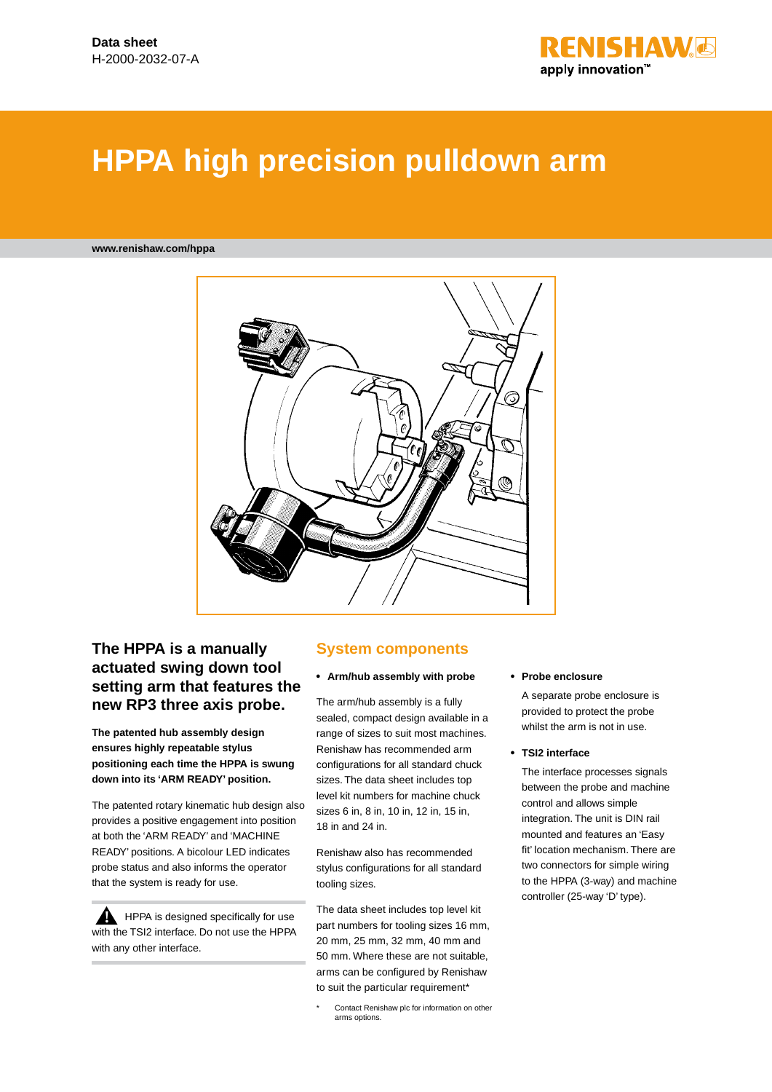

# **HPPA high precision pulldown arm**

**www.renishaw.com/hppa**



# **The HPPA is a manually actuated swing down tool setting arm that features the new RP3 three axis probe.**

**The patented hub assembly design ensures highly repeatable stylus positioning each time the HPPA is swung down into its 'ARM READY' position.**

The patented rotary kinematic hub design also provides a positive engagement into position at both the 'ARM READY' and 'MACHINE READY' positions. A bicolour LED indicates probe status and also informs the operator that the system is ready for use.

HPPA is designed specifically for use **!** with the TSI2 interface. Do not use the HPPA with any other interface.

#### **System components**

#### **• Arm/hub assembly with probe**

The arm/hub assembly is a fully sealed, compact design available in a range of sizes to suit most machines. Renishaw has recommended arm configurations for all standard chuck sizes. The data sheet includes top level kit numbers for machine chuck sizes 6 in, 8 in, 10 in, 12 in, 15 in, 18 in and 24 in.

Renishaw also has recommended stylus configurations for all standard tooling sizes.

The data sheet includes top level kit part numbers for tooling sizes 16 mm, 20 mm, 25 mm, 32 mm, 40 mm and 50 mm. Where these are not suitable, arms can be configured by Renishaw to suit the particular requirement\*

Contact Renishaw plc for information on other arms options.

#### **• Probe enclosure**

A separate probe enclosure is provided to protect the probe whilst the arm is not in use.

#### **• TSI2 interface**

The interface processes signals between the probe and machine control and allows simple integration. The unit is DIN rail mounted and features an 'Easy fit' location mechanism. There are two connectors for simple wiring to the HPPA (3-way) and machine controller (25-way 'D' type).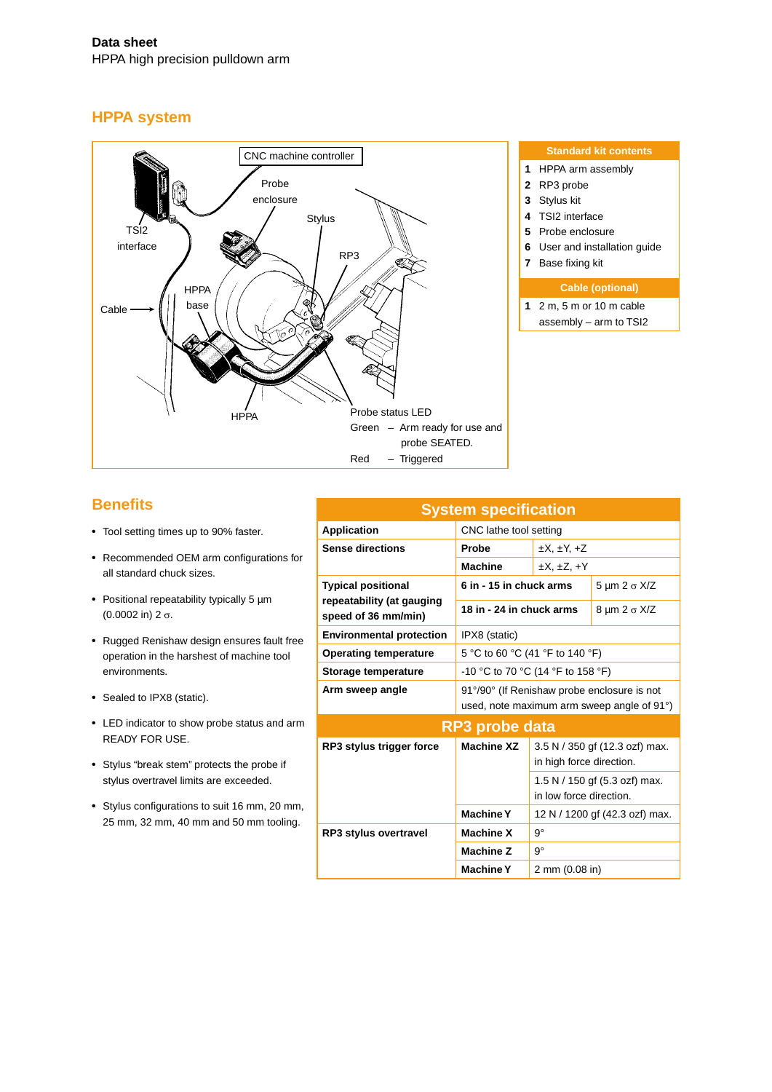# **HPPA system**



# **Benefits**

- • Tool setting times up to 90% faster.
- • Recommended OEM arm configurations for all standard chuck sizes.
- • Positional repeatability typically 5 μm (0.0002 in) 2 σ.
- • Rugged Renishaw design ensures fault free operation in the harshest of machine tool environments.
- Sealed to IPX8 (static).
- • LED indicator to show probe status and arm READY FOR USE.
- • Stylus "break stem" protects the probe if stylus overtravel limits are exceeded.
- • Stylus configurations to suit 16 mm, 20 mm, 25 mm, 32 mm, 40 mm and 50 mm tooling.

| <b>System specification</b>                      |                                             |                               |                                |  |  |  |  |
|--------------------------------------------------|---------------------------------------------|-------------------------------|--------------------------------|--|--|--|--|
| <b>Application</b>                               | CNC lathe tool setting                      |                               |                                |  |  |  |  |
| <b>Sense directions</b>                          | Probe                                       |                               |                                |  |  |  |  |
|                                                  | <b>Machine</b>                              | $\pm X$ . $\pm Z$ . $\pm Y$   |                                |  |  |  |  |
| <b>Typical positional</b>                        | 6 in - 15 in chuck arms                     | $5 \mu m$ 2 $\sigma$ X/Z      |                                |  |  |  |  |
| repeatability (at gauging<br>speed of 36 mm/min) | 18 in - 24 in chuck arms                    |                               | $8 \mu m$ 2 $\sigma$ X/Z       |  |  |  |  |
| <b>Environmental protection</b>                  | IPX8 (static)                               |                               |                                |  |  |  |  |
| <b>Operating temperature</b>                     | 5 °C to 60 °C (41 °F to 140 °F)             |                               |                                |  |  |  |  |
| Storage temperature                              | -10 °C to 70 °C (14 °F to 158 °F)           |                               |                                |  |  |  |  |
| Arm sweep angle                                  | 91°/90° (If Renishaw probe enclosure is not |                               |                                |  |  |  |  |
|                                                  | used, note maximum arm sweep angle of 91°)  |                               |                                |  |  |  |  |
|                                                  | RP3 probe data                              |                               |                                |  |  |  |  |
| RP3 stylus trigger force                         | <b>Machine XZ</b>                           |                               | 3.5 N / 350 gf (12.3 ozf) max. |  |  |  |  |
|                                                  |                                             | in high force direction.      |                                |  |  |  |  |
|                                                  |                                             | 1.5 N / 150 gf (5.3 ozf) max. |                                |  |  |  |  |
|                                                  |                                             | in low force direction.       |                                |  |  |  |  |
|                                                  | <b>Machine Y</b>                            |                               | 12 N / 1200 gf (42.3 ozf) max. |  |  |  |  |
| <b>RP3 stylus overtravel</b>                     | <b>Machine X</b>                            | ġ۰                            |                                |  |  |  |  |
|                                                  | <b>Machine Z</b>                            |                               |                                |  |  |  |  |
|                                                  | <b>Machine Y</b>                            | 2 mm (0.08 in)                |                                |  |  |  |  |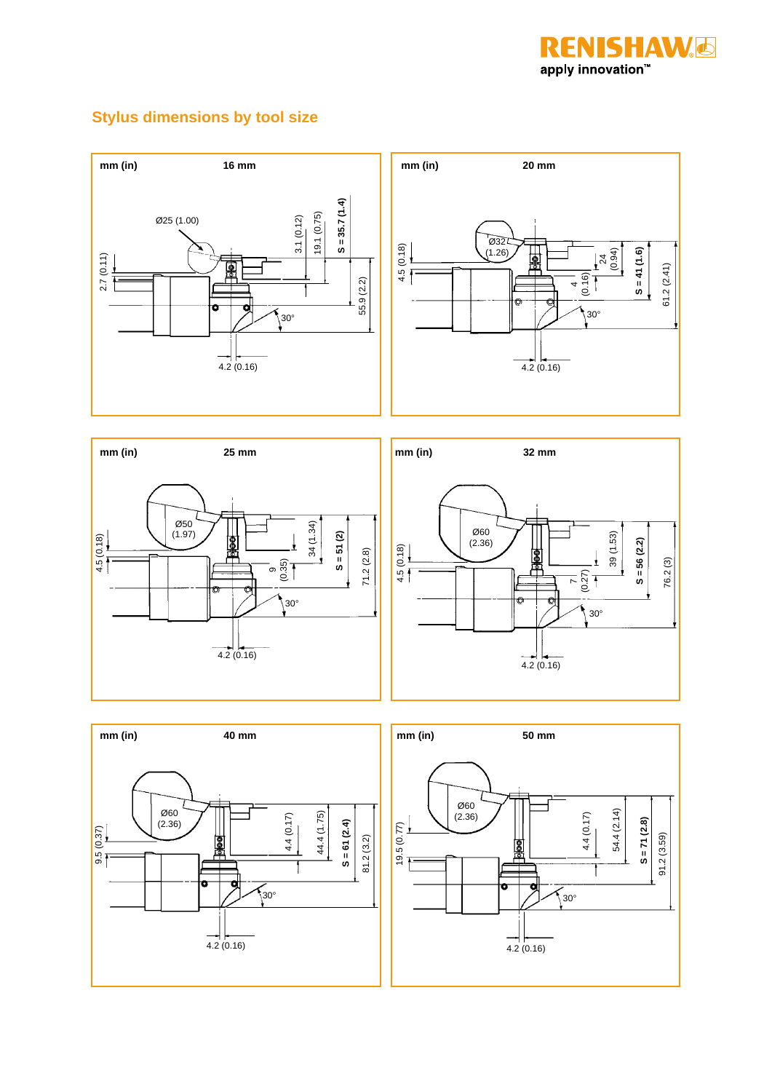

# **Stylus dimensions by tool size**









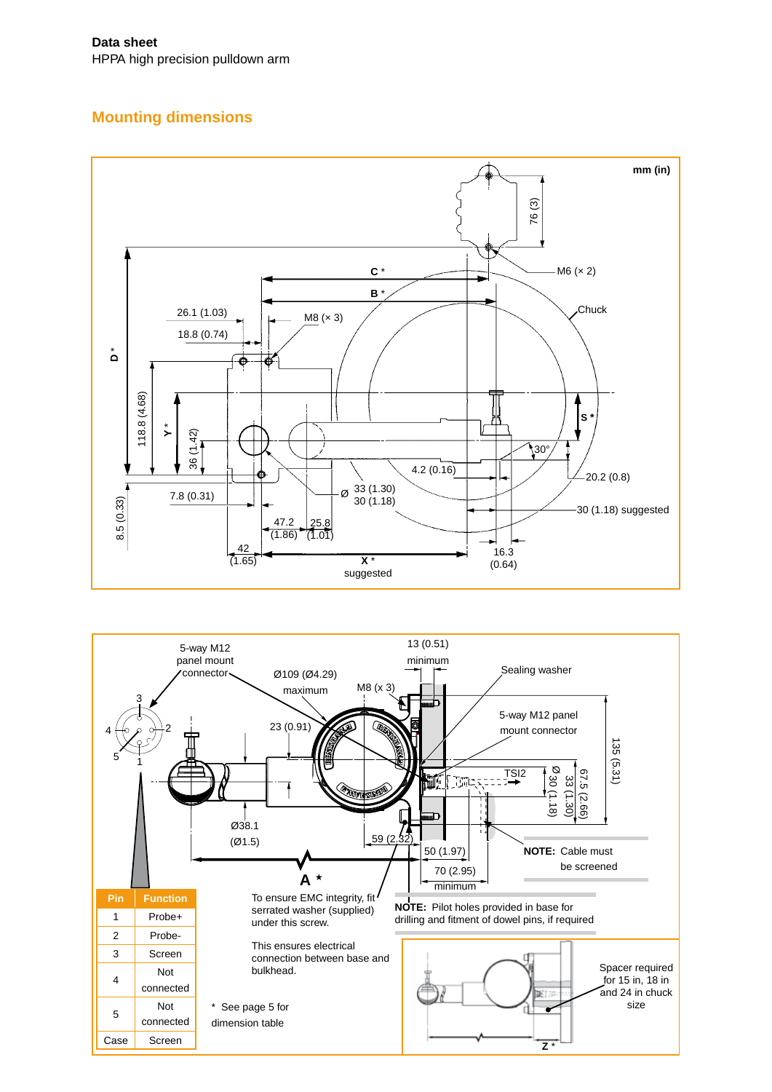# **Mounting dimensions**



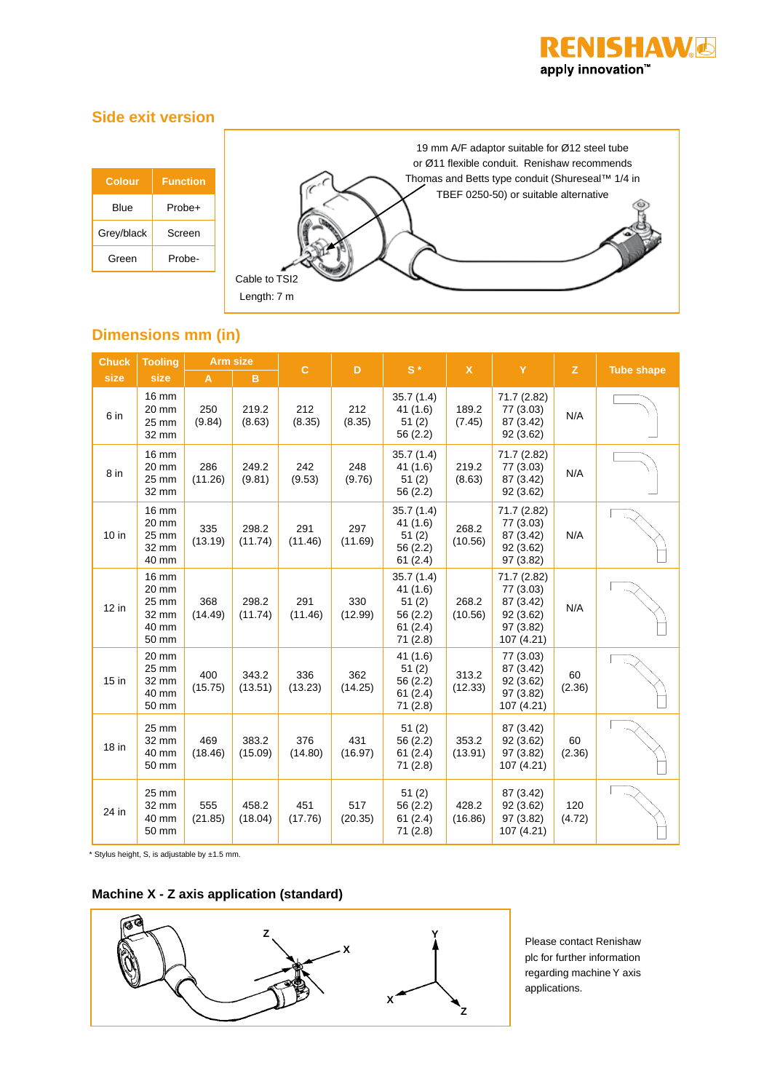

٦

## **Side exit version**

 $\mathsf{r}$ 

|               |                 | 19 mm A/F adaptor suitable for Ø12 steel tube<br>or Ø11 flexible conduit. Renishaw recommends |
|---------------|-----------------|-----------------------------------------------------------------------------------------------|
| <b>Colour</b> | <b>Function</b> | Thomas and Betts type conduit (Shureseal™ 1/4 in                                              |
| <b>Blue</b>   | Probe+          | TBEF 0250-50) or suitable alternative                                                         |
| Grey/black    | Screen          |                                                                                               |
| Green         | Probe-          |                                                                                               |
|               |                 | Cable to TSI2<br>Length: 7 m                                                                  |

<u> 1989 - Johann Barn, mars eta bainar eta idazlea (</u>

# **Dimensions mm (in)**

| <b>Chuck</b> | <b>Tooling</b>                                            | <b>Arm size</b> |                  | $\mathbf{C}$   |                | $S^*$                                                           |                  | Y                                                                             |               |                   |  |
|--------------|-----------------------------------------------------------|-----------------|------------------|----------------|----------------|-----------------------------------------------------------------|------------------|-------------------------------------------------------------------------------|---------------|-------------------|--|
| size         | size                                                      | A               | B                |                | D              |                                                                 | $\mathsf{x}$     |                                                                               | z             | <b>Tube shape</b> |  |
| 6 in         | 16 mm<br>20 mm<br>25 mm<br>32 mm                          | 250<br>(9.84)   | 219.2<br>(8.63)  | 212<br>(8.35)  | 212<br>(8.35)  | 35.7(1.4)<br>41(1.6)<br>51(2)<br>56 (2.2)                       | 189.2<br>(7.45)  | 71.7 (2.82)<br>77 (3.03)<br>87 (3.42)<br>92 (3.62)                            | N/A           |                   |  |
| 8 in         | 16 mm<br>20 mm<br>25 mm<br>32 mm                          | 286<br>(11.26)  | 249.2<br>(9.81)  | 242<br>(9.53)  | 248<br>(9.76)  | 35.7(1.4)<br>41(1.6)<br>51(2)<br>56 (2.2)                       | 219.2<br>(8.63)  | 71.7 (2.82)<br>77 (3.03)<br>87 (3.42)<br>92 (3.62)                            | N/A           |                   |  |
| 10 in        | 16 mm<br>20 mm<br>25 mm<br>32 mm<br>40 mm                 | 335<br>(13.19)  | 298.2<br>(11.74) | 291<br>(11.46) | 297<br>(11.69) | 35.7(1.4)<br>41(1.6)<br>51(2)<br>56 (2.2)<br>61(2.4)            | 268.2<br>(10.56) | 71.7 (2.82)<br>77 (3.03)<br>87 (3.42)<br>92 (3.62)<br>97 (3.82)               | N/A           |                   |  |
| 12 in        | <b>16 mm</b><br>20 mm<br>25 mm<br>32 mm<br>40 mm<br>50 mm | 368<br>(14.49)  | 298.2<br>(11.74) | 291<br>(11.46) | 330<br>(12.99) | 35.7(1.4)<br>41(1.6)<br>51(2)<br>56 (2.2)<br>61(2.4)<br>71(2.8) | 268.2<br>(10.56) | 71.7 (2.82)<br>77 (3.03)<br>87 (3.42)<br>92 (3.62)<br>97 (3.82)<br>107 (4.21) | N/A           |                   |  |
| 15 in        | 20 mm<br>25 mm<br>32 mm<br>40 mm<br>50 mm                 | 400<br>(15.75)  | 343.2<br>(13.51) | 336<br>(13.23) | 362<br>(14.25) | 41(1.6)<br>51(2)<br>56 (2.2)<br>61(2.4)<br>71(2.8)              | 313.2<br>(12.33) | 77 (3.03)<br>87 (3.42)<br>92 (3.62)<br>97 (3.82)<br>107 (4.21)                | 60<br>(2.36)  |                   |  |
| 18 in        | 25 mm<br>32 mm<br>40 mm<br>50 mm                          | 469<br>(18.46)  | 383.2<br>(15.09) | 376<br>(14.80) | 431<br>(16.97) | 51(2)<br>56 (2.2)<br>61(2.4)<br>71 (2.8)                        | 353.2<br>(13.91) | 87 (3.42)<br>92 (3.62)<br>97 (3.82)<br>107 (4.21)                             | 60<br>(2.36)  |                   |  |
| 24 in        | 25 mm<br>32 mm<br>40 mm<br>50 mm                          | 555<br>(21.85)  | 458.2<br>(18.04) | 451<br>(17.76) | 517<br>(20.35) | 51(2)<br>56 (2.2)<br>61(2.4)<br>71 (2.8)                        | 428.2<br>(16.86) | 87 (3.42)<br>92 (3.62)<br>97 (3.82)<br>107 (4.21)                             | 120<br>(4.72) |                   |  |

\* Stylus height, S, is adjustable by ±1.5 mm.

# **Machine X - Z axis application (standard)**



Please contact Renishaw plc for further information regarding machine Y axis applications.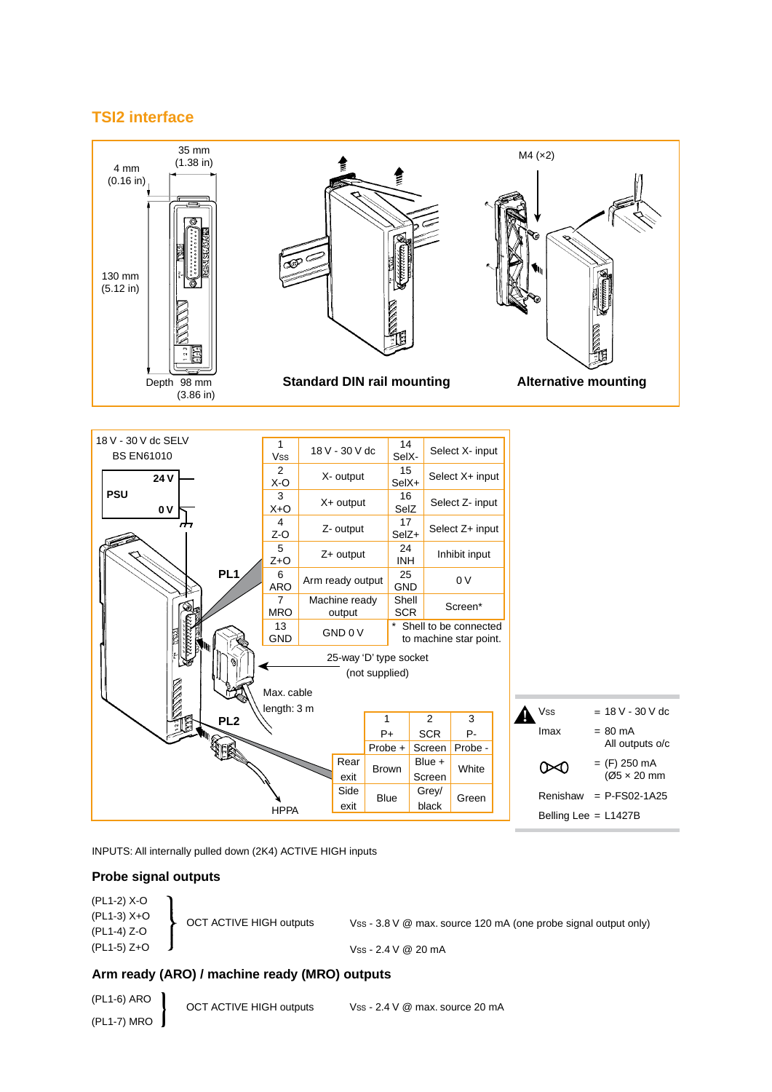# **TSI2 interface**



INPUTS: All internally pulled down (2K4) ACTIVE HIGH inputs

#### **Probe signal outputs**

�

(PL1-2) X-O (PL1-3) X+O (PL1-4) Z-O (PL1-5) Z+O

OCT ACTIVE HIGH outputs

Vss - 3.8 V @ max. source 120 mA (one probe signal output only)

Vss - 2.4 V @ 20 mA

## **Arm ready (ARO) / machine ready (MRO) outputs**

(PL1-6) ARO (PL1-7) MRO

OCT ACTIVE HIGH outputs

Vss - 2.4 V @ max. source 20 mA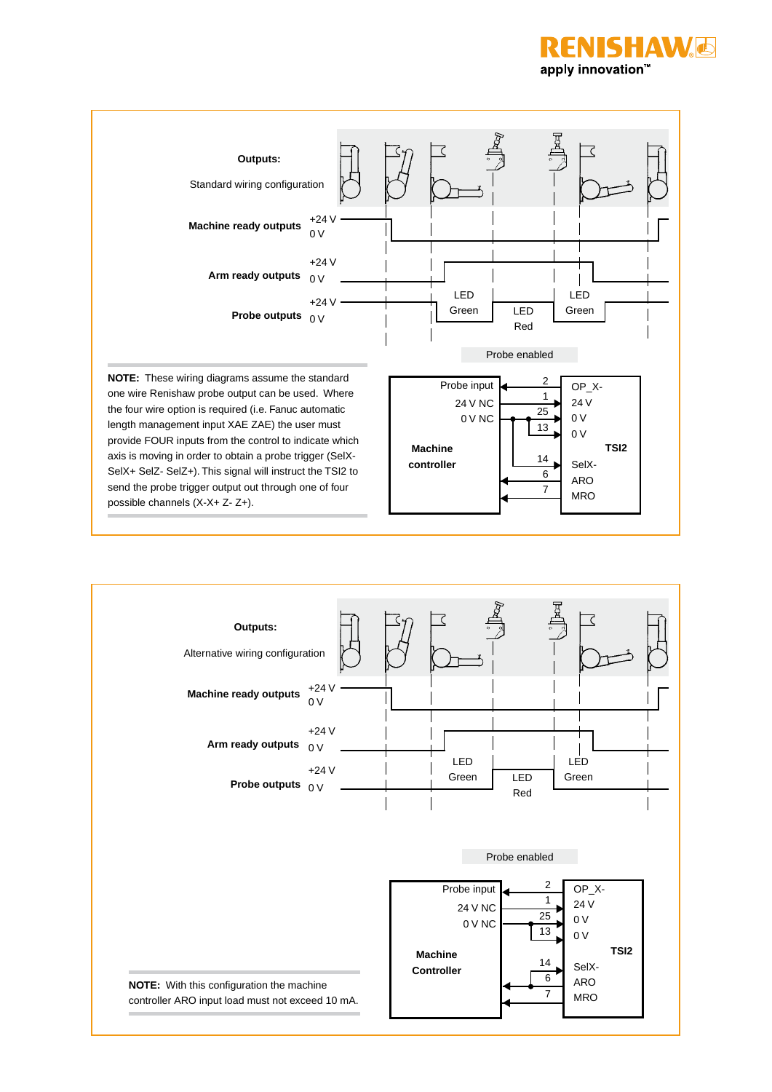